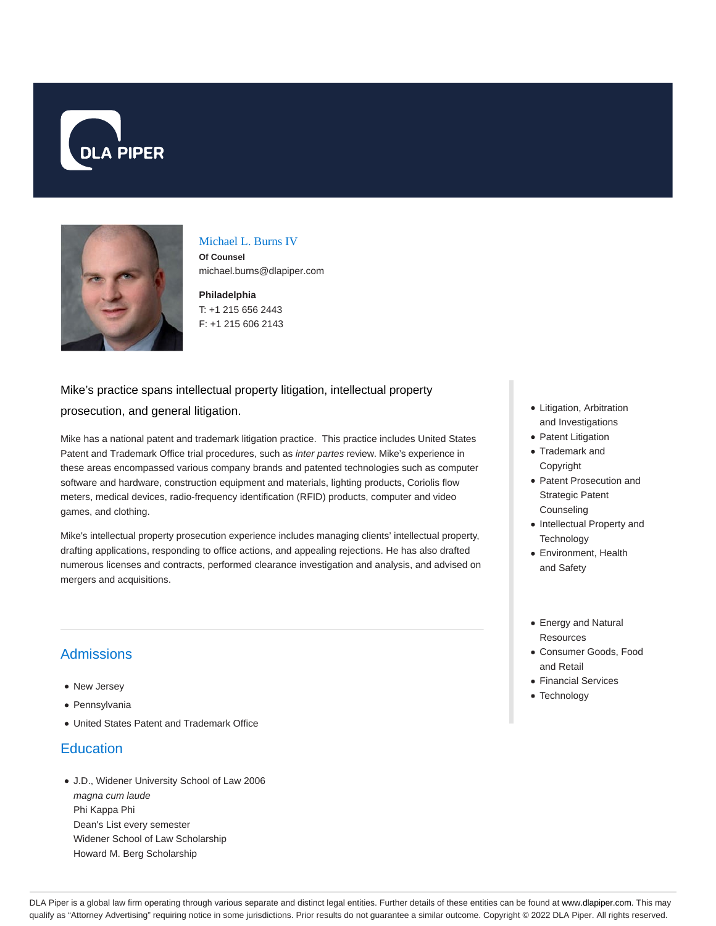



## Michael L. Burns IV

**Of Counsel** michael.burns@dlapiper.com

#### **Philadelphia** T: +1 215 656 2443 F: +1 215 606 2143

# Mike's practice spans intellectual property litigation, intellectual property

#### prosecution, and general litigation.

Mike has a national patent and trademark litigation practice. This practice includes United States Patent and Trademark Office trial procedures, such as inter partes review. Mike's experience in these areas encompassed various company brands and patented technologies such as computer software and hardware, construction equipment and materials, lighting products, Coriolis flow meters, medical devices, radio-frequency identification (RFID) products, computer and video games, and clothing.

Mike's intellectual property prosecution experience includes managing clients' intellectual property, drafting applications, responding to office actions, and appealing rejections. He has also drafted numerous licenses and contracts, performed clearance investigation and analysis, and advised on mergers and acquisitions.

# **Admissions**

- New Jersey
- Pennsylvania
- United States Patent and Trademark Office

# **Education**

J.D., Widener University School of Law 2006 magna cum laude Phi Kappa Phi Dean's List every semester Widener School of Law Scholarship Howard M. Berg Scholarship

- Litigation, Arbitration and Investigations
- Patent Litigation
- Trademark and Copyright
- Patent Prosecution and Strategic Patent Counseling
- Intellectual Property and **Technology**
- Environment, Health and Safety
- Energy and Natural **Resources**
- Consumer Goods, Food and Retail
- Financial Services
- Technology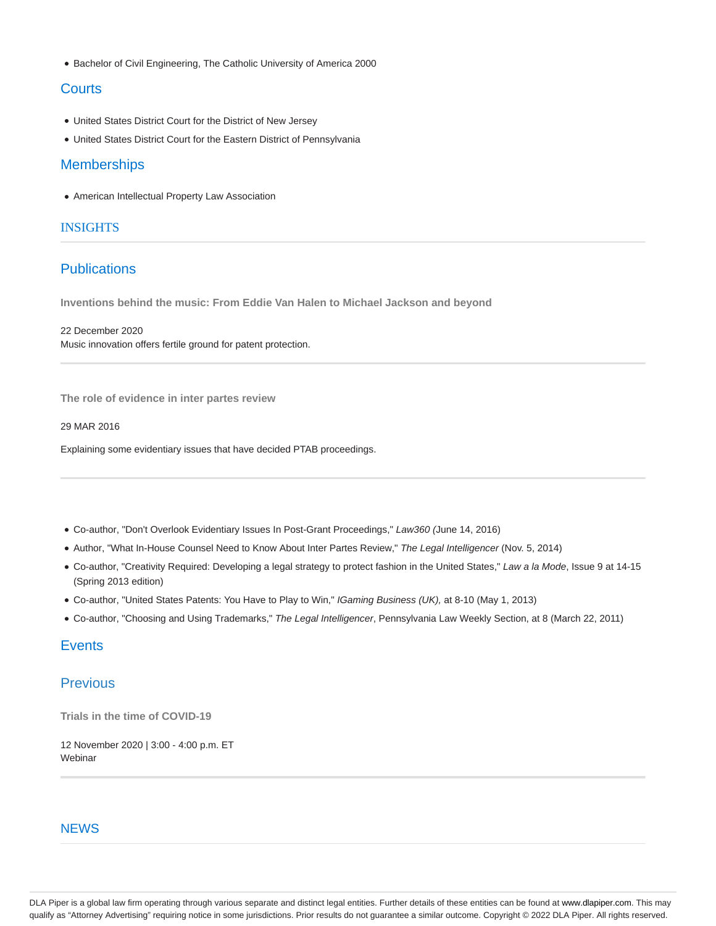Bachelor of Civil Engineering, The Catholic University of America 2000

# **Courts**

- United States District Court for the District of New Jersey
- United States District Court for the Eastern District of Pennsylvania

## **Memberships**

American Intellectual Property Law Association

#### INSIGHTS

# **Publications**

**Inventions behind the music: From Eddie Van Halen to Michael Jackson and beyond**

22 December 2020 Music innovation offers fertile ground for patent protection.

**The role of evidence in inter partes review**

29 MAR 2016

Explaining some evidentiary issues that have decided PTAB proceedings.

- Co-author, "Don't Overlook Evidentiary Issues In Post-Grant Proceedings," Law360 (June 14, 2016)
- Author, "What In-House Counsel Need to Know About Inter Partes Review," The Legal Intelligencer (Nov. 5, 2014)
- Co-author, "Creativity Required: Developing a legal strategy to protect fashion in the United States," Law a la Mode, Issue 9 at 14-15 (Spring 2013 edition)
- Co-author, "United States Patents: You Have to Play to Win," IGaming Business (UK), at 8-10 (May 1, 2013)
- Co-author, "Choosing and Using Trademarks," The Legal Intelligencer, Pennsylvania Law Weekly Section, at 8 (March 22, 2011)

# **Events**

## Previous

**Trials in the time of COVID-19**

12 November 2020 | 3:00 - 4:00 p.m. ET Webinar

## **NEWS**

DLA Piper is a global law firm operating through various separate and distinct legal entities. Further details of these entities can be found at www.dlapiper.com. This may qualify as "Attorney Advertising" requiring notice in some jurisdictions. Prior results do not guarantee a similar outcome. Copyright © 2022 DLA Piper. All rights reserved.